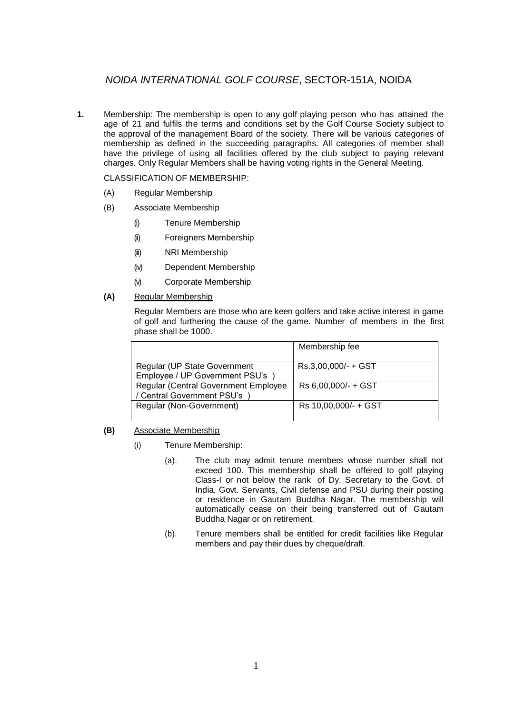# *NOIDA INTERNATIONAL GOLF COURSE*, SECTOR-151A, NOIDA

**1.** Membership: The membership is open to any golf playing person who has attained the age of 21 and fulfils the terms and conditions set by the Golf Course Society subject to the approval of the management Board of the society. There will be various categories of membership as defined in the succeeding paragraphs. All categories of member shall have the privilege of using all facilities offered by the club subject to paying relevant charges. Only Regular Members shall be having voting rights in the General Meeting.

CLASSIFICATION OF MEMBERSHIP:

- (A) Regular Membership
- (B) Associate Membership
	- (i) Tenure Membership
	- (ii) Foreigners Membership
	- (iii) NRI Membership
	- (iv) Dependent Membership
	- (v) Corporate Membership
- **(A)** Regular Membership

Regular Members are those who are keen golfers and take active interest in game of golf and furthering the cause of the game. Number of members in the first phase shall be 1000.

|                                                                            | Membership fee       |
|----------------------------------------------------------------------------|----------------------|
| Regular (UP State Government<br>Employee / UP Government PSU's             | Rs.3,00,000/- + GST  |
| <b>Regular (Central Government Employee)</b><br>/ Central Government PSU's | Rs 6,00,000/- + GST  |
| Regular (Non-Government)                                                   | Rs 10,00,000/- + GST |

## **(B)** Associate Membership

- (i) Tenure Membership:
	- (a). The club may admit tenure members whose number shall not exceed 100. This membership shall be offered to golf playing Class-I or not below the rank of Dy. Secretary to the Govt. of India, Govt. Servants, Civil defense and PSU during their posting or residence in Gautam Buddha Nagar. The membership will automatically cease on their being transferred out of Gautam Buddha Nagar or on retirement.
	- (b). Tenure members shall be entitled for credit facilities like Regular members and pay their dues by cheque/draft.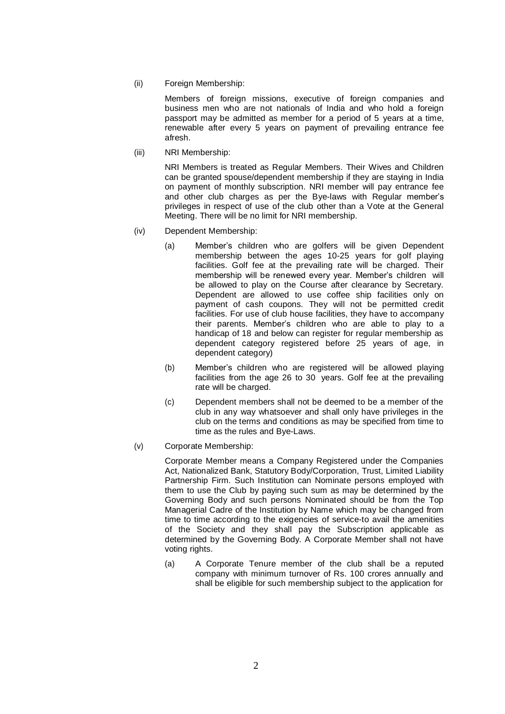(ii) Foreign Membership:

Members of foreign missions, executive of foreign companies and business men who are not nationals of India and who hold a foreign passport may be admitted as member for a period of 5 years at a time, renewable after every 5 years on payment of prevailing entrance fee afresh.

(iii) NRI Membership:

NRI Members is treated as Regular Members. Their Wives and Children can be granted spouse/dependent membership if they are staying in India on payment of monthly subscription. NRI member will pay entrance fee and other club charges as per the Bye-laws with Regular member's privileges in respect of use of the club other than a Vote at the General Meeting. There will be no limit for NRI membership.

- (iv) Dependent Membership:
	- (a) Member's children who are golfers will be given Dependent membership between the ages 10-25 years for golf playing facilities. Golf fee at the prevailing rate will be charged. Their membership will be renewed every year. Member's children will be allowed to play on the Course after clearance by Secretary. Dependent are allowed to use coffee ship facilities only on payment of cash coupons. They will not be permitted credit facilities. For use of club house facilities, they have to accompany their parents. Member's children who are able to play to a handicap of 18 and below can register for regular membership as dependent category registered before 25 years of age, in dependent category)
	- (b) Member's children who are registered will be allowed playing facilities from the age 26 to 30 years. Golf fee at the prevailing rate will be charged.
	- (c) Dependent members shall not be deemed to be a member of the club in any way whatsoever and shall only have privileges in the club on the terms and conditions as may be specified from time to time as the rules and Bye-Laws.
- (v) Corporate Membership:

Corporate Member means a Company Registered under the Companies Act, Nationalized Bank, Statutory Body/Corporation, Trust, Limited Liability Partnership Firm. Such Institution can Nominate persons employed with them to use the Club by paying such sum as may be determined by the Governing Body and such persons Nominated should be from the Top Managerial Cadre of the Institution by Name which may be changed from time to time according to the exigencies of service-to avail the amenities of the Society and they shall pay the Subscription applicable as determined by the Governing Body. A Corporate Member shall not have voting rights.

(a) A Corporate Tenure member of the club shall be a reputed company with minimum turnover of Rs. 100 crores annually and shall be eligible for such membership subject to the application for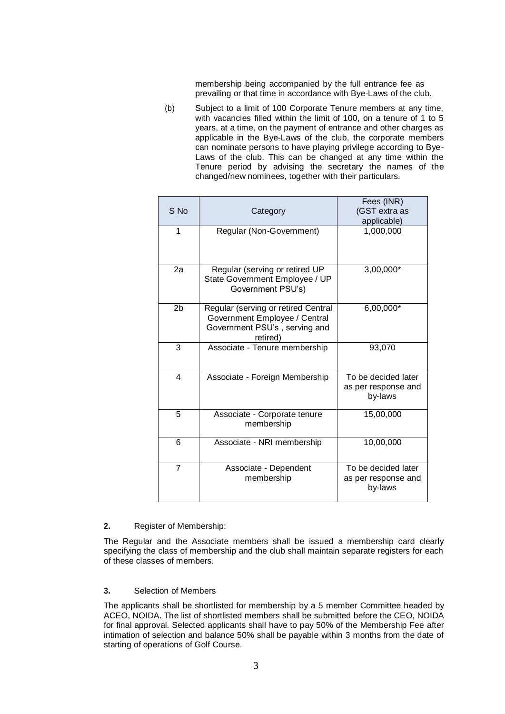membership being accompanied by the full entrance fee as prevailing or that time in accordance with Bye-Laws of the club.

(b) Subject to a limit of 100 Corporate Tenure members at any time, with vacancies filled within the limit of 100, on a tenure of 1 to 5 years, at a time, on the payment of entrance and other charges as applicable in the Bye-Laws of the club, the corporate members can nominate persons to have playing privilege according to Bye-Laws of the club. This can be changed at any time within the Tenure period by advising the secretary the names of the changed/new nominees, together with their particulars.

| S No           | Category                                                                                                          | Fees (INR)<br>(GST extra as<br>applicable)            |
|----------------|-------------------------------------------------------------------------------------------------------------------|-------------------------------------------------------|
| 1              | Regular (Non-Government)                                                                                          | 1,000,000                                             |
| 2a             | Regular (serving or retired UP<br>State Government Employee / UP<br>Government PSU's)                             | 3,00,000*                                             |
| 2b             | Regular (serving or retired Central<br>Government Employee / Central<br>Government PSU's, serving and<br>retired) | 6,00,000*                                             |
| 3              | Associate - Tenure membership                                                                                     | 93,070                                                |
| $\overline{4}$ | Associate - Foreign Membership                                                                                    | To be decided later<br>as per response and<br>by-laws |
| 5              | Associate - Corporate tenure<br>membership                                                                        | 15,00,000                                             |
| 6              | Associate - NRI membership                                                                                        | 10,00,000                                             |
| $\overline{7}$ | Associate - Dependent<br>membership                                                                               | To be decided later<br>as per response and<br>by-laws |

## **2.** Register of Membership:

The Regular and the Associate members shall be issued a membership card clearly specifying the class of membership and the club shall maintain separate registers for each of these classes of members.

#### **3.** Selection of Members

The applicants shall be shortlisted for membership by a 5 member Committee headed by ACEO, NOIDA. The list of shortlisted members shall be submitted before the CEO, NOIDA for final approval. Selected applicants shall have to pay 50% of the Membership Fee after intimation of selection and balance 50% shall be payable within 3 months from the date of starting of operations of Golf Course.